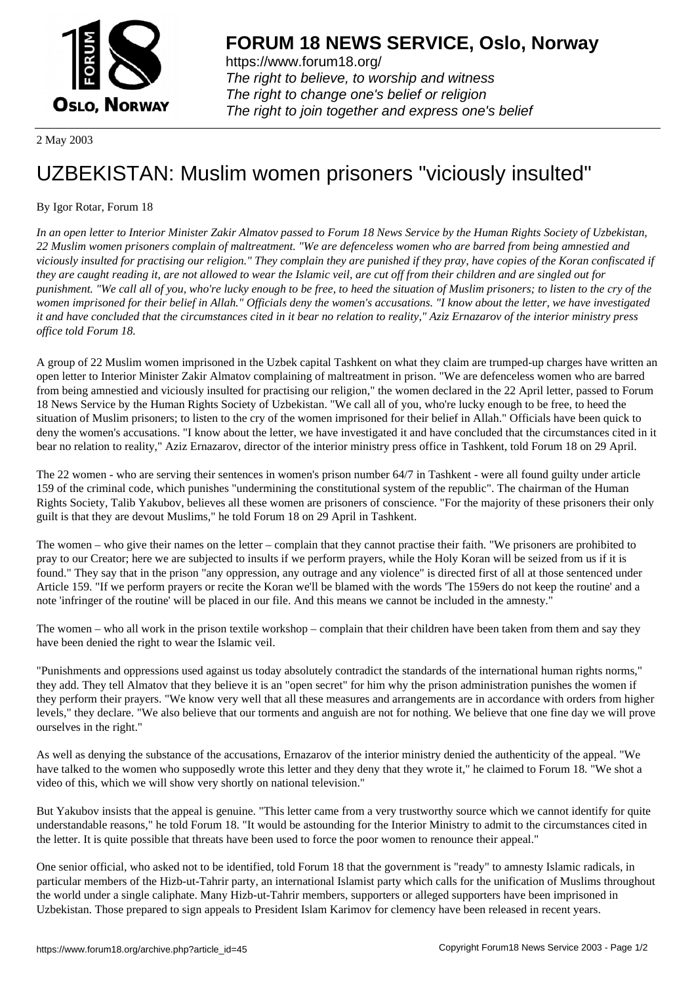

https://www.forum18.org/ The right to believe, to worship and witness The right to change one's belief or religion [The right to join together a](https://www.forum18.org/)nd express one's belief

2 May 2003

## [UZBEKISTAN:](https://www.forum18.org) Muslim women prisoners "viciously insulted"

## By Igor Rotar, Forum 18

*In an open letter to Interior Minister Zakir Almatov passed to Forum 18 News Service by the Human Rights Society of Uzbekistan, 22 Muslim women prisoners complain of maltreatment. "We are defenceless women who are barred from being amnestied and viciously insulted for practising our religion." They complain they are punished if they pray, have copies of the Koran confiscated if they are caught reading it, are not allowed to wear the Islamic veil, are cut off from their children and are singled out for punishment. "We call all of you, who're lucky enough to be free, to heed the situation of Muslim prisoners; to listen to the cry of the women imprisoned for their belief in Allah." Officials deny the women's accusations. "I know about the letter, we have investigated it and have concluded that the circumstances cited in it bear no relation to reality," Aziz Ernazarov of the interior ministry press office told Forum 18.*

A group of 22 Muslim women imprisoned in the Uzbek capital Tashkent on what they claim are trumped-up charges have written an open letter to Interior Minister Zakir Almatov complaining of maltreatment in prison. "We are defenceless women who are barred from being amnestied and viciously insulted for practising our religion," the women declared in the 22 April letter, passed to Forum 18 News Service by the Human Rights Society of Uzbekistan. "We call all of you, who're lucky enough to be free, to heed the situation of Muslim prisoners; to listen to the cry of the women imprisoned for their belief in Allah." Officials have been quick to deny the women's accusations. "I know about the letter, we have investigated it and have concluded that the circumstances cited in it bear no relation to reality," Aziz Ernazarov, director of the interior ministry press office in Tashkent, told Forum 18 on 29 April.

The 22 women - who are serving their sentences in women's prison number 64/7 in Tashkent - were all found guilty under article 159 of the criminal code, which punishes "undermining the constitutional system of the republic". The chairman of the Human Rights Society, Talib Yakubov, believes all these women are prisoners of conscience. "For the majority of these prisoners their only guilt is that they are devout Muslims," he told Forum 18 on 29 April in Tashkent.

The women – who give their names on the letter – complain that they cannot practise their faith. "We prisoners are prohibited to pray to our Creator; here we are subjected to insults if we perform prayers, while the Holy Koran will be seized from us if it is found." They say that in the prison "any oppression, any outrage and any violence" is directed first of all at those sentenced under Article 159. "If we perform prayers or recite the Koran we'll be blamed with the words 'The 159ers do not keep the routine' and a note 'infringer of the routine' will be placed in our file. And this means we cannot be included in the amnesty."

The women – who all work in the prison textile workshop – complain that their children have been taken from them and say they have been denied the right to wear the Islamic veil.

"Punishments and oppressions used against us today absolutely contradict the standards of the international human rights norms," they add. They tell Almatov that they believe it is an "open secret" for him why the prison administration punishes the women if they perform their prayers. "We know very well that all these measures and arrangements are in accordance with orders from higher levels," they declare. "We also believe that our torments and anguish are not for nothing. We believe that one fine day we will prove ourselves in the right."

As well as denying the substance of the accusations, Ernazarov of the interior ministry denied the authenticity of the appeal. "We have talked to the women who supposedly wrote this letter and they deny that they wrote it," he claimed to Forum 18. "We shot a video of this, which we will show very shortly on national television."

But Yakubov insists that the appeal is genuine. "This letter came from a very trustworthy source which we cannot identify for quite understandable reasons," he told Forum 18. "It would be astounding for the Interior Ministry to admit to the circumstances cited in the letter. It is quite possible that threats have been used to force the poor women to renounce their appeal."

One senior official, who asked not to be identified, told Forum 18 that the government is "ready" to amnesty Islamic radicals, in particular members of the Hizb-ut-Tahrir party, an international Islamist party which calls for the unification of Muslims throughout the world under a single caliphate. Many Hizb-ut-Tahrir members, supporters or alleged supporters have been imprisoned in Uzbekistan. Those prepared to sign appeals to President Islam Karimov for clemency have been released in recent years.